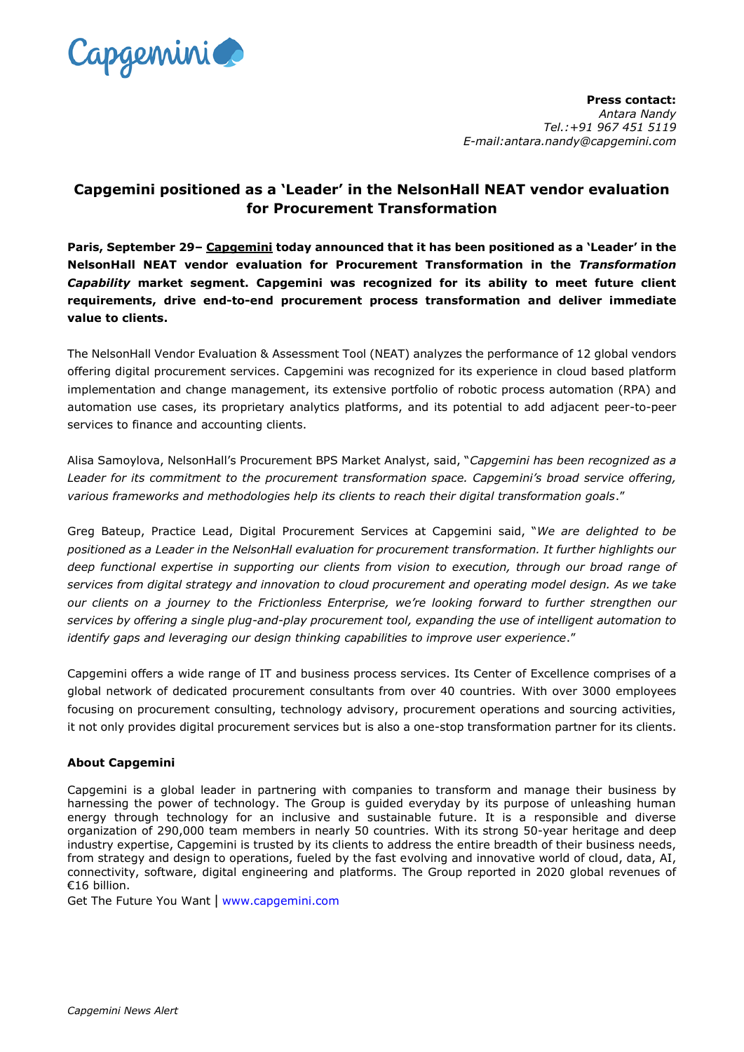

**Press contact:** *Antara Nandy Tel.:+91 967 451 5119 E-mail:antara.nandy@capgemini.com*

## **Capgemini positioned as a 'Leader' in the NelsonHall NEAT vendor evaluation for Procurement Transformation**

**Paris, September 29– [Capgemini](http://www.capgemini.com/) today announced that it has been positioned as a 'Leader' in the NelsonHall NEAT vendor evaluation for Procurement Transformation in the** *Transformation Capability* **market segment. Capgemini was recognized for its ability to meet future client requirements, drive end-to-end procurement process transformation and deliver immediate value to clients.**

The NelsonHall Vendor Evaluation & Assessment Tool (NEAT) analyzes the performance of 12 global vendors offering digital procurement services. Capgemini was recognized for its experience in cloud based platform implementation and change management, its extensive portfolio of robotic process automation (RPA) and automation use cases, its proprietary analytics platforms, and its potential to add adjacent peer-to-peer services to finance and accounting clients.

Alisa Samoylova, NelsonHall's Procurement BPS Market Analyst, said, "*Capgemini has been recognized as a Leader for its commitment to the procurement transformation space. Capgemini's broad service offering, various frameworks and methodologies help its clients to reach their digital transformation goals*."

Greg Bateup, Practice Lead, Digital Procurement Services at Capgemini said, "*We are delighted to be positioned as a Leader in the NelsonHall evaluation for procurement transformation. It further highlights our deep functional expertise in supporting our clients from vision to execution, through our broad range of services from digital strategy and innovation to cloud procurement and operating model design. As we take our clients on a journey to the [Frictionless Enterprise,](https://www.capgemini.com/business-services-thought-leadership/innovation-nation/the-frictionless-enterprise/) we're looking forward to further strengthen our services by offering a single plug-and-play procurement tool, expanding the use of intelligent automation to identify gaps and leveraging our design thinking capabilities to improve user experience*."

Capgemini offers a wide range of IT and business process services. Its Center of Excellence comprises of a global network of dedicated procurement consultants from over 40 countries. With over 3000 employees focusing on procurement consulting, technology advisory, procurement operations and sourcing activities, it not only provides digital procurement services but is also a one-stop transformation partner for its clients.

## **About Capgemini**

Capgemini is a global leader in partnering with companies to transform and manage their business by harnessing the power of technology. The Group is guided everyday by its purpose of unleashing human energy through technology for an inclusive and sustainable future. It is a responsible and diverse organization of 290,000 team members in nearly 50 countries. With its strong 50-year heritage and deep industry expertise, Capgemini is trusted by its clients to address the entire breadth of their business needs, from strategy and design to operations, fueled by the fast evolving and innovative world of cloud, data, AI, connectivity, software, digital engineering and platforms. The Group reported in 2020 global revenues of €16 billion.

Get The Future You Want | [www.capgemini.com](http://www.capgemini.com/#_blank)